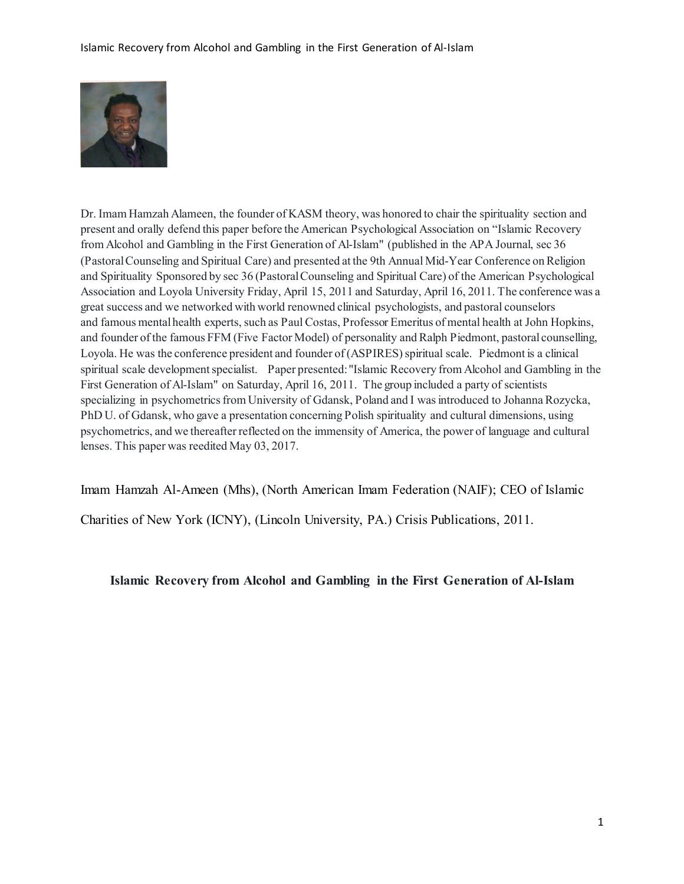#### Islamic Recovery from Alcohol and Gambling in the First Generation of Al-Islam



Dr. Imam Hamzah Alameen, the founder of KASM theory, was honored to chair the spirituality section and present and orally defend this paper before the American Psychological Association on "Islamic Recovery from Alcohol and Gambling in the First Generation of Al-Islam" (published in the APA Journal, sec 36 (Pastoral Counseling and Spiritual Care) and presented at the 9th Annual Mid-Year Conference on Religion and Spirituality Sponsored by sec 36 (Pastoral Counseling and Spiritual Care) of the American Psychological Association and Loyola University Friday, April 15, 2011 and Saturday, April 16, 2011. The conference was a great success and we networked with world renowned clinical psychologists, and pastoral counselors and famous mental health experts, such as Paul Costas, Professor Emeritus of mental health at John Hopkins, and founder of the famous FFM (Five Factor Model) of personality and Ralph Piedmont, pastoral counselling, Loyola. He was the conference president and founder of (ASPIRES) spiritual scale. Piedmont is a clinical spiritual scale development specialist. Paper presented: "Islamic Recovery from Alcohol and Gambling in the First Generation of Al-Islam" on Saturday, April 16, 2011. The group included a party of scientists specializing in psychometrics from University of Gdansk, Poland and I was introduced to Johanna Rozycka, PhD U. of Gdansk, who gave a presentation concerning Polish spirituality and cultural dimensions, using psychometrics, and we thereafter reflected on the immensity of America, the power of language and cultural lenses. This paper was reedited May 03, 2017.

Imam Hamzah Al-Ameen (Mhs), (North American Imam Federation (NAIF); CEO of Islamic

Charities of New York (ICNY), (Lincoln University, PA.) Crisis Publications, 2011.

# **Islamic Recovery from Alcohol and Gambling in the First Generation of Al-Islam**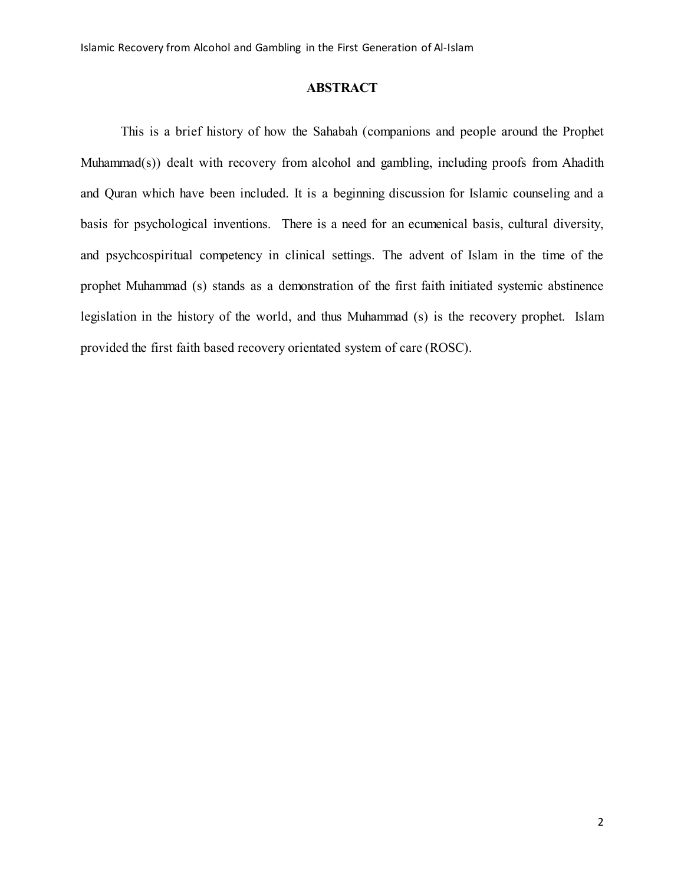### **ABSTRACT**

<span id="page-1-0"></span>This is a brief history of how the Sahabah (companions and people around the Prophet Muhammad(s)) dealt with recovery from alcohol and gambling, including proofs from Ahadith and Quran which have been included. It is a beginning discussion for Islamic counseling and a basis for psychological inventions. There is a need for an ecumenical basis, cultural diversity, and psychcospiritual competency in clinical settings. The advent of Islam in the time of the prophet Muhammad (s) stands as a demonstration of the first faith initiated systemic abstinence legislation in the history of the world, and thus Muhammad (s) is the recovery prophet. Islam provided the first faith based recovery orientated system of care (ROSC).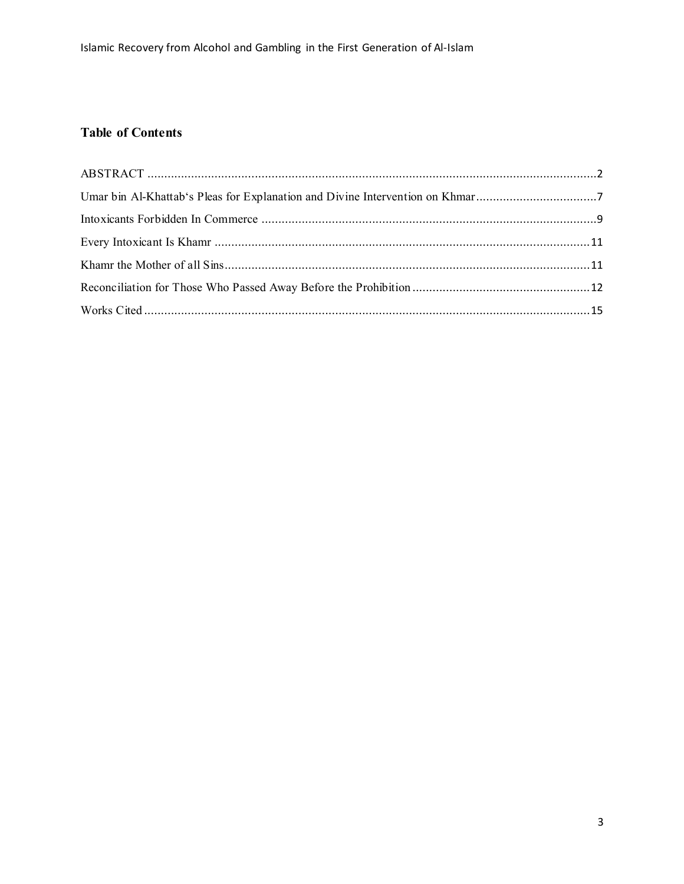# **Table of Contents**

| Umar bin Al-Khattab's Pleas for Explanation and Divine Intervention on Khmar7 |  |
|-------------------------------------------------------------------------------|--|
|                                                                               |  |
|                                                                               |  |
|                                                                               |  |
|                                                                               |  |
|                                                                               |  |
|                                                                               |  |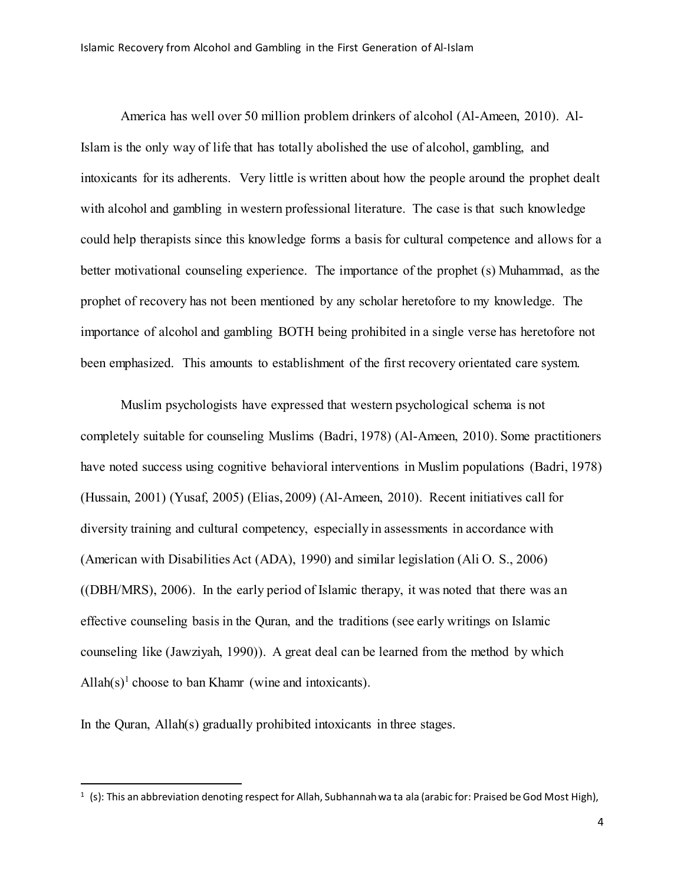America has well over 50 million problem drinkers of alcohol (Al-Ameen, 2010). Al-Islam is the only way of life that has totally abolished the use of alcohol, gambling, and intoxicants for its adherents. Very little is written about how the people around the prophet dealt with alcohol and gambling in western professional literature. The case is that such knowledge could help therapists since this knowledge forms a basis for cultural competence and allows for a better motivational counseling experience. The importance of the prophet (s) Muhammad, as the prophet of recovery has not been mentioned by any scholar heretofore to my knowledge. The importance of alcohol and gambling BOTH being prohibited in a single verse has heretofore not been emphasized. This amounts to establishment of the first recovery orientated care system.

Muslim psychologists have expressed that western psychological schema is not completely suitable for counseling Muslims (Badri, 1978) (Al-Ameen, 2010). Some practitioners have noted success using cognitive behavioral interventions in Muslim populations (Badri, 1978) (Hussain, 2001) (Yusaf, 2005) (Elias, 2009) (Al-Ameen, 2010). Recent initiatives call for diversity training and cultural competency, especially in assessments in accordance with (American with Disabilities Act (ADA), 1990) and similar legislation (Ali O. S., 2006) ((DBH/MRS), 2006). In the early period of Islamic therapy, it was noted that there was an effective counseling basis in the Quran, and the traditions (see early writings on Islamic counseling like (Jawziyah, 1990)). A great deal can be learned from the method by which  $Allah(s)<sup>1</sup>$  choose to ban Khamr (wine and intoxicants).

In the Quran, Allah(s) gradually prohibited intoxicants in three stages.

 $\overline{a}$ 

 $^1$  (s): This an abbreviation denoting respect for Allah, Subhannah wa ta ala (arabic for: Praised be God Most High),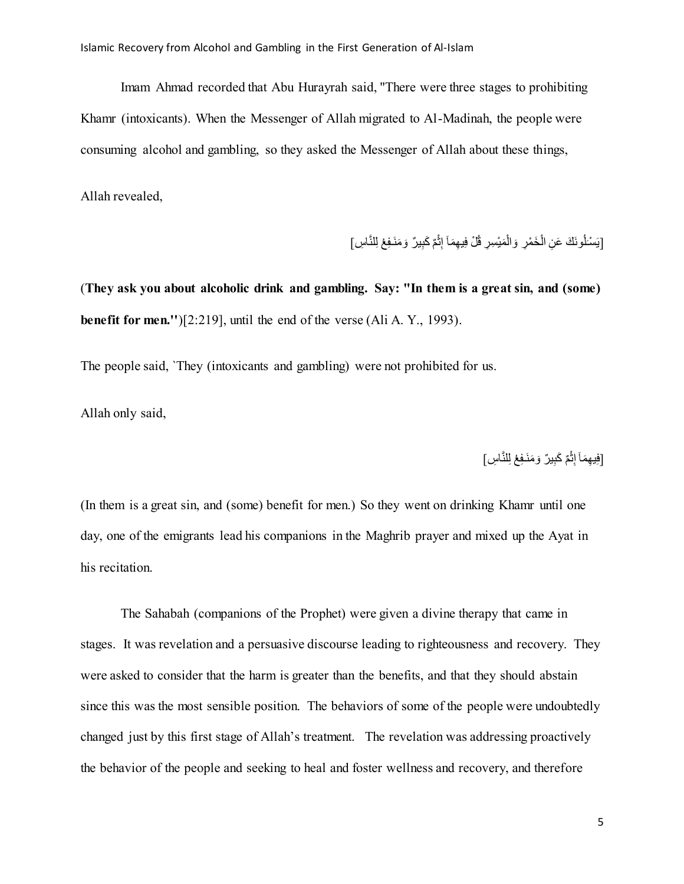Imam Ahmad recorded that Abu Hurayrah said, "There were three stages to prohibiting Khamr (intoxicants). When the Messenger of Allah migrated to Al-Madinah, the people were consuming alcohol and gambling, so they asked the Messenger of Allah about these things,

Allah revealed,

[يَسْتُلُونَكَ عَنِ الْخَمْرِ وَالْمَيْسِرِ قُلْ فِيهِمَاۤ إِثْمٌ كَبِيرٌ وَمَنَـفِعُ لِلنَّاسِ] ֪֪֪֪֪֦֪֦֪֦֖֘֝֟֟֘֝֟֟֟֟֟֟֟֟֟֟֟֟֟֟֟֟֟֟֟֟֟֟֟֕֝֟֟֟֟֟֟ ْ ْ َ

(**They ask you about alcoholic drink and gambling. Say: "In them is a great sin, and (some) benefit for men.''**)[2:219], until the end of the verse (Ali A. Y., 1993).

The people said, `They (intoxicants and gambling) were not prohibited for us.

Allah only said,

[فِيهِمَاۤ إِنُّمٌ كَبِيرٌ ۖ وَمَنَـفِعُ لِلنَّاسِ] ْ

(In them is a great sin, and (some) benefit for men.) So they went on drinking Khamr until one day, one of the emigrants lead his companions in the Maghrib prayer and mixed up the Ayat in his recitation.

The Sahabah (companions of the Prophet) were given a divine therapy that came in stages. It was revelation and a persuasive discourse leading to righteousness and recovery. They were asked to consider that the harm is greater than the benefits, and that they should abstain since this was the most sensible position. The behaviors of some of the people were undoubtedly changed just by this first stage of Allah's treatment. The revelation was addressing proactively the behavior of the people and seeking to heal and foster wellness and recovery, and therefore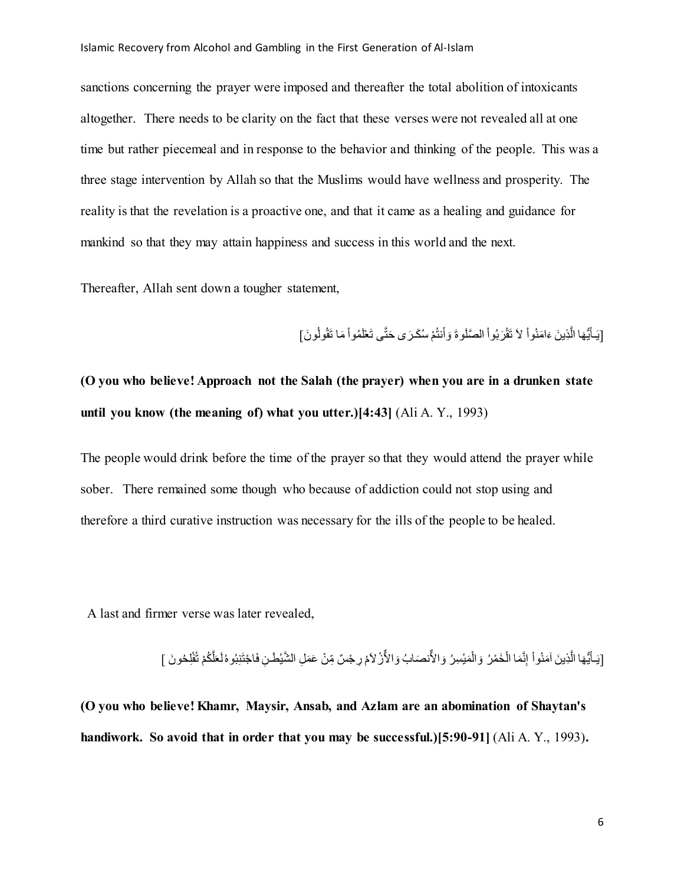sanctions concerning the prayer were imposed and thereafter the total abolition of intoxicants altogether. There needs to be clarity on the fact that these verses were not revealed all at one time but rather piecemeal and in response to the behavior and thinking of the people. This was a three stage intervention by Allah so that the Muslims would have wellness and prosperity. The reality is that the revelation is a proactive one, and that it came as a healing and guidance for mankind so that they may attain happiness and success in this world and the next.

Thereafter, Allah sent down a tougher statement,

[يَـأَيُّهَا الَّذِينَ ءَامَنُواْ لاَ تَقْرَبُواْ الصَّلَوةَ وَأَنتُمْ سُكَـرَى حَتَّى تَعْلَمُواْ مَا تَقُولُونَ] َ َّ َ َ

**(O you who believe! Approach not the Salah (the prayer) when you are in a drunken state until you know (the meaning of) what you utter.)[4:43]** (Ali A. Y., 1993)

The people would drink before the time of the prayer so that they would attend the prayer while sober. There remained some though who because of addiction could not stop using and therefore a third curative instruction was necessary for the ills of the people to be healed.

A last and firmer verse was later revealed,

[يَـأَيُّهَا الَّذِينَ آمَنُواْ إِنَّمَا الْخَمْرُ وَالْمَيْسِرُ وَالأُنصَابُ وَالأُزْلاَمُ رِجْسٌ مِّنْ عَمَلِ الشَّيْطَـنِ فَاجْتَنِبُوهُ لَعَلَّكُمْ تُفْلِحُونَ ] َّ َ َّ ْ ْ

**(O you who believe! Khamr, Maysir, Ansab, and Azlam are an abomination of Shaytan's handiwork. So avoid that in order that you may be successful.)[5:90-91]** (Ali A. Y., 1993)**.**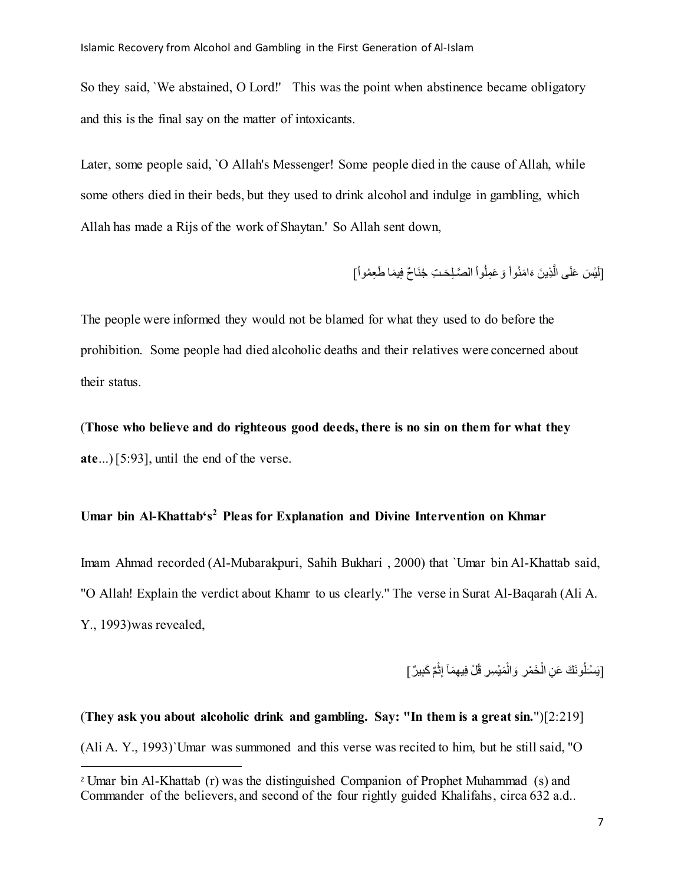So they said, `We abstained, O Lord!' This was the point when abstinence became obligatory and this is the final say on the matter of intoxicants.

Later, some people said, `O Allah's Messenger! Some people died in the cause of Allah, while some others died in their beds, but they used to drink alcohol and indulge in gambling, which Allah has made a Rijs of the work of Shaytan.' So Allah sent down,

> [لَيْسَ عَلَى الَّذِينَ ءَامَنُواْ وَعَمِلُواْ الصَّلِحَتِ جُنَاحٌ فِيمَا طَعِمُواْ] َّ

The people were informed they would not be blamed for what they used to do before the prohibition. Some people had died alcoholic deaths and their relatives were concerned about their status.

(**Those who believe and do righteous good deeds, there is no sin on them for what they ate**...) [5:93], until the end of the verse.

# <span id="page-6-0"></span>**Umar bin Al-Khattab's<sup>2</sup> Pleas for Explanation and Divine Intervention on Khmar**

Imam Ahmad recorded (Al-Mubarakpuri, Sahih Bukhari , 2000) that `Umar bin Al-Khattab said, "O Allah! Explain the verdict about Khamr to us clearly.'' The verse in Surat Al-Baqarah (Ali A. Y., 1993)was revealed,

> [يَسْـَلُونَكَ عَنِ الْخَمْرِ ۖ وَالْمَيْسِرِ قُلْ فِيهِمَـآ إِثْمٌ كَبِيرٌ ] ْ َ ْ ْ

(**They ask you about alcoholic drink and gambling. Say: "In them is a great sin.**'')[2:219] (Ali A. Y., 1993)`Umar was summoned and this verse was recited to him, but he still said, "O

 $\overline{a}$ 

<sup>2</sup> Umar bin Al-Khattab (r) was the distinguished Companion of Prophet Muhammad (s) and Commander of the believers, and second of the four rightly guided Khalifahs, circa 632 a.d..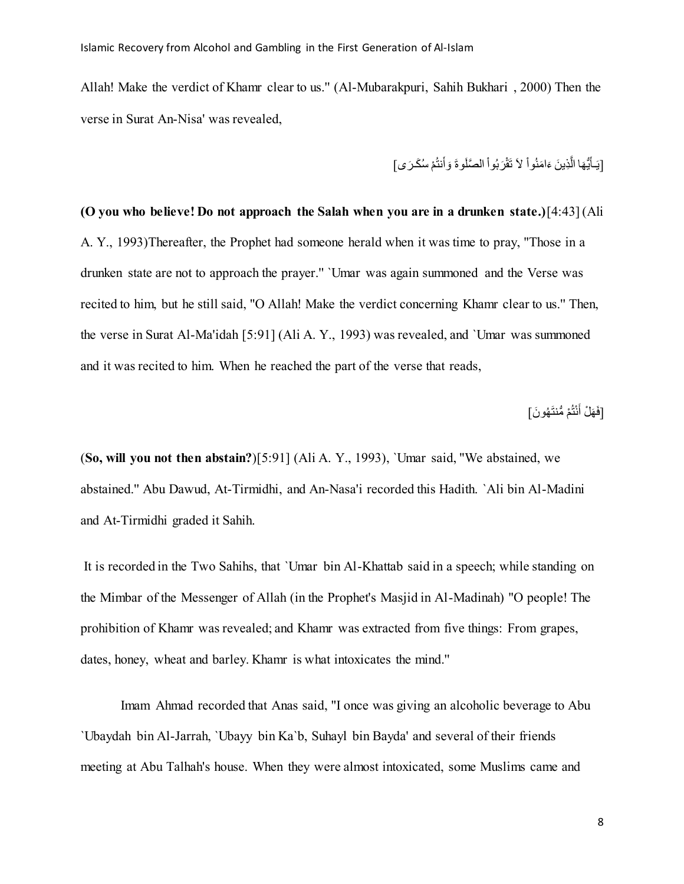Allah! Make the verdict of Khamr clear to us.'' (Al-Mubarakpuri, Sahih Bukhari , 2000) Then the verse in Surat An-Nisa' was revealed,

> [يَـأَيُّهَا الَّذِينَ ءَامَنُواْ لاَ تَقْرَبُواْ الصَّلَوةَ وَأَننُمْ سُكَـرَى] َ َّ َ َ

**(O you who believe! Do not approach the Salah when you are in a drunken state.)**[4:43] (Ali A. Y., 1993)Thereafter, the Prophet had someone herald when it was time to pray, "Those in a drunken state are not to approach the prayer.'' `Umar was again summoned and the Verse was recited to him, but he still said, "O Allah! Make the verdict concerning Khamr clear to us.'' Then, the verse in Surat Al-Ma'idah [5:91] (Ali A. Y., 1993) was revealed, and `Umar was summoned and it was recited to him. When he reached the part of the verse that reads,

> [فَهَلْ أُنْثُمْ مُّنتَهُونَ] َ َ

(**So, will you not then abstain?**)[5:91] (Ali A. Y., 1993), `Umar said, "We abstained, we abstained.'' Abu Dawud, At-Tirmidhi, and An-Nasa'i recorded this Hadith. `Ali bin Al-Madini and At-Tirmidhi graded it Sahih.

It is recorded in the Two Sahihs, that `Umar bin Al-Khattab said in a speech; while standing on the Mimbar of the Messenger of Allah (in the Prophet's Masjid in Al-Madinah) "O people! The prohibition of Khamr was revealed; and Khamr was extracted from five things: From grapes, dates, honey, wheat and barley. Khamr is what intoxicates the mind.''

Imam Ahmad recorded that Anas said, "I once was giving an alcoholic beverage to Abu `Ubaydah bin Al-Jarrah, `Ubayy bin Ka`b, Suhayl bin Bayda' and several of their friends meeting at Abu Talhah's house. When they were almost intoxicated, some Muslims came and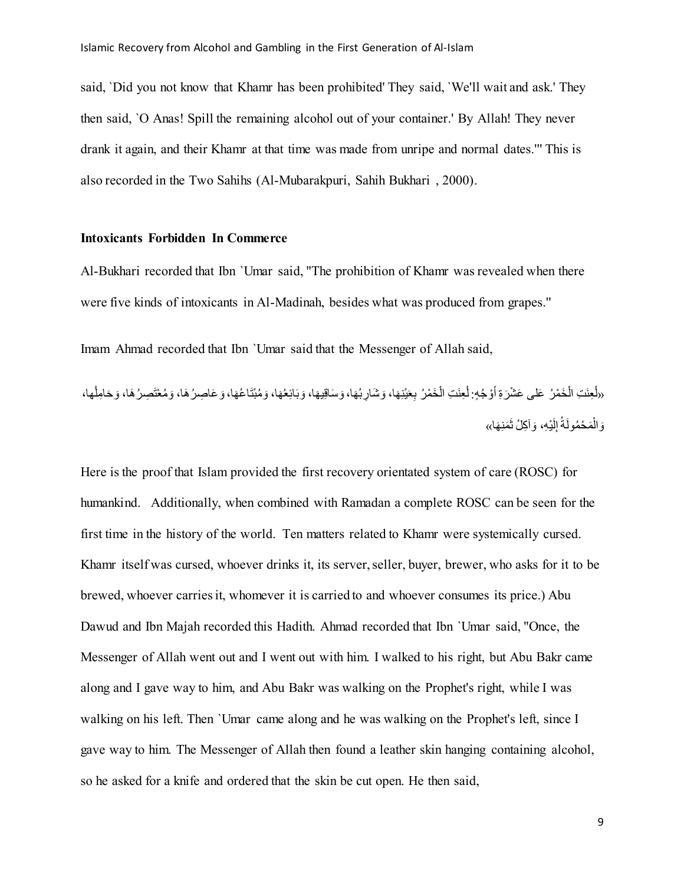said, `Did you not know that Khamr has been prohibited' They said, `We'll wait and ask.' They then said, `O Anas! Spill the remaining alcohol out of your container.' By Allah! They never drank it again, and their Khamr at that time was made from unripe and normal dates.''' This is also recorded in the Two Sahihs (Al-Mubarakpuri, Sahih Bukhari , 2000).

#### <span id="page-8-0"></span>**Intoxicants Forbidden In Commerce**

Al-Bukhari recorded that Ibn `Umar said, "The prohibition of Khamr was revealed when there were five kinds of intoxicants in Al-Madinah, besides what was produced from grapes.''

Imam Ahmad recorded that Ibn `Umar said that the Messenger of Allah said,

َو َحاِملُها، ِص ُر َها، َو ُمعْتَ َو َعا ِص ُر َها، َها، َو ُمبْتَاعُ َها، َوبَائِعُ َها، َو َساقِي َها، ِربُ َو َشا َها، ِعَيْنِ َخ ْم ُر ب ْ ِعنَ ِت ال ْو ُج ٍه: لُ َ َخ ْم ُر َعلى َع ْش َرةِ أ ْ ِعنَ ِت ال »لُ ا َ َمنِه َوآ ِك ُل ثَ ِلَيْ ِه، إ َم ْح ُمولَةُ ْ َو « ال

Here is the proof that Islam provided the first recovery orientated system of care (ROSC) for humankind. Additionally, when combined with Ramadan a complete ROSC can be seen for the first time in the history of the world. Ten matters related to Khamr were systemically cursed. Khamr itself was cursed, whoever drinks it, its server, seller, buyer, brewer, who asks for it to be brewed, whoever carries it, whomever it is carried to and whoever consumes its price.) Abu Dawud and Ibn Majah recorded this Hadith. Ahmad recorded that Ibn `Umar said, "Once, the Messenger of Allah went out and I went out with him. I walked to his right, but Abu Bakr came along and I gave way to him, and Abu Bakr was walking on the Prophet's right, while I was walking on his left. Then `Umar came along and he was walking on the Prophet's left, since I gave way to him. The Messenger of Allah then found a leather skin hanging containing alcohol, so he asked for a knife and ordered that the skin be cut open. He then said,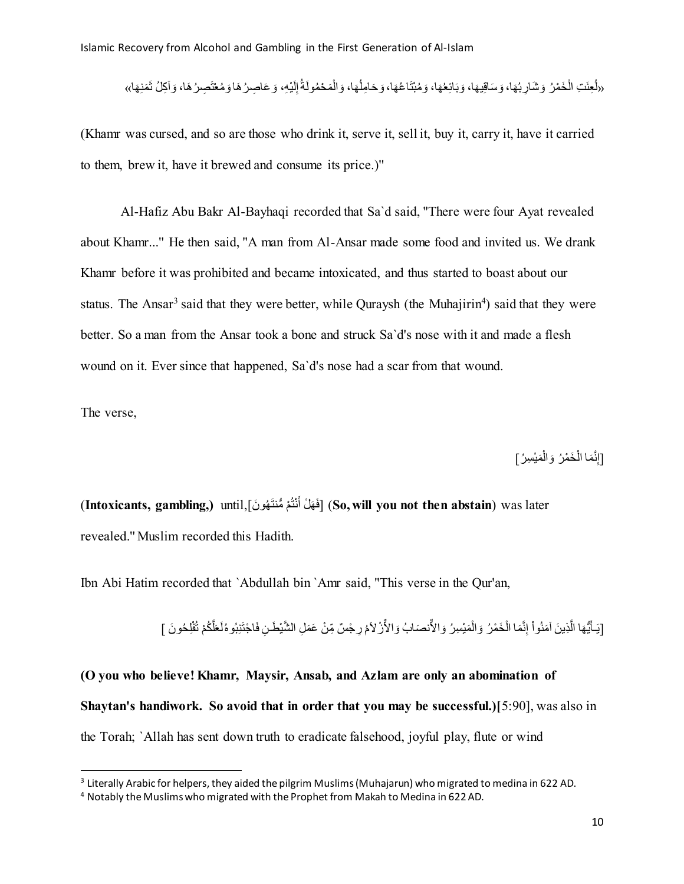«لُعِنَتِ الْخَمْرُ وَشَارِبُهَا، وَسَاقِيهَا، وَبَائِعُهَا، وَمُبْتَاعُهَا، وَحَامِلُهَا، وَالْمَحْمُولَةُ إِلَيْهِ، وَعَاصِرُهَا وَمُعْتَصِرُهَا، وَآكِلُ ثَمَنِهَا» ْ ْ

(Khamr was cursed, and so are those who drink it, serve it, sell it, buy it, carry it, have it carried to them, brew it, have it brewed and consume its price.)''

Al-Hafiz Abu Bakr Al-Bayhaqi recorded that Sa`d said, "There were four Ayat revealed about Khamr...'' He then said, "A man from Al-Ansar made some food and invited us. We drank Khamr before it was prohibited and became intoxicated, and thus started to boast about our status. The Ansar<sup>3</sup> said that they were better, while Quraysh (the Muhajirin<sup>4</sup>) said that they were better. So a man from the Ansar took a bone and struck Sa`d's nose with it and made a flesh wound on it. Ever since that happened, Sa`d's nose had a scar from that wound.

The verse,

[إِنَّمَا الْخَمْرُ ۖ وَالْمَيْسِرُ ] ْ ْ

ْم ُّمنتَهُو َن[,until**) ,gambling ,Intoxicants**( نْتُ ْل أ هَف) ]**So, will you not then abstain**) was later َ َ revealed.'' Muslim recorded this Hadith.

Ibn Abi Hatim recorded that `Abdullah bin `Amr said, "This verse in the Qur'an,

[يَـأَيُّهَا الَّذِينَ آمَنُواْ إِنَّمَا الْخَمْرُ وَالْمَيْسِرُ وَالأَنصَابُ وَالأَّزْلاَمُ رِجْسٌ مِّنْ عَمَلِ الشَّيْطَـنِ فَاجْتَنِبُوهُ لَعَلَّكُمْ تُفْلِحُونَ ] َ َ ْ ْ ِنَّ َّ

**(O you who believe! Khamr, Maysir, Ansab, and Azlam are only an abomination of Shaytan's handiwork. So avoid that in order that you may be successful.)[**5:90], was also in the Torah; `Allah has sent down truth to eradicate falsehood, joyful play, flute or wind

 3 Literally Arabic for helpers, they aided the pilgrim Muslims (Muhajarun) who migrated to medina in 622 AD.

<sup>4</sup> Notably the Muslims who migrated with the Prophet from Makah to Medina in 622 AD.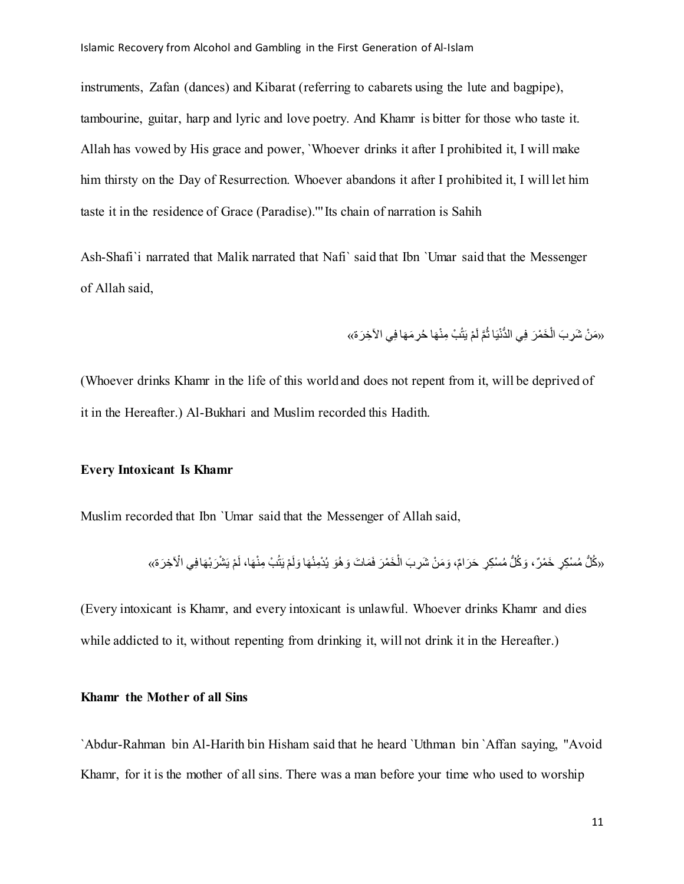instruments, Zafan (dances) and Kibarat (referring to cabarets using the lute and bagpipe), tambourine, guitar, harp and lyric and love poetry. And Khamr is bitter for those who taste it. Allah has vowed by His grace and power, `Whoever drinks it after I prohibited it, I will make him thirsty on the Day of Resurrection. Whoever abandons it after I prohibited it, I will let him taste it in the residence of Grace (Paradise).''' Its chain of narration is Sahih

Ash-Shafi`i narrated that Malik narrated that Nafi` said that Ibn `Umar said that the Messenger of Allah said,

> «مَنْ شَرِبَ الْخَمْرَ فِي الدُّنْيَا ثُمَّ لَمْ يَتُبُ مِنْهَا حُرِمَهَا فِي الآخِرَة»، ْ

(Whoever drinks Khamr in the life of this world and does not repent from it, will be deprived of it in the Hereafter.) Al-Bukhari and Muslim recorded this Hadith.

#### <span id="page-10-0"></span>**Every Intoxicant Is Khamr**

Muslim recorded that Ibn `Umar said that the Messenger of Allah said,

َهافِي اْآل ِخ َرة« ْش َربْ ْم يَ َها، لَ ْب ِمنْ ْم يَتُ َولَ َها ِمنُ َو يُدْ َما َت َوهُ َخ ْمَر فَ ْ َو َم ْن َش ِر َب ال َوكُ ُّل ُم ْس ِكٍر َح َرام،ٌ »كُ ُّل ُم ْس ِكٍر َخ ْمٌر،

(Every intoxicant is Khamr, and every intoxicant is unlawful. Whoever drinks Khamr and dies while addicted to it, without repenting from drinking it, will not drink it in the Hereafter.)

#### <span id="page-10-1"></span>**Khamr the Mother of all Sins**

`Abdur-Rahman bin Al-Harith bin Hisham said that he heard `Uthman bin `Affan saying, "Avoid Khamr, for it is the mother of all sins. There was a man before your time who used to worship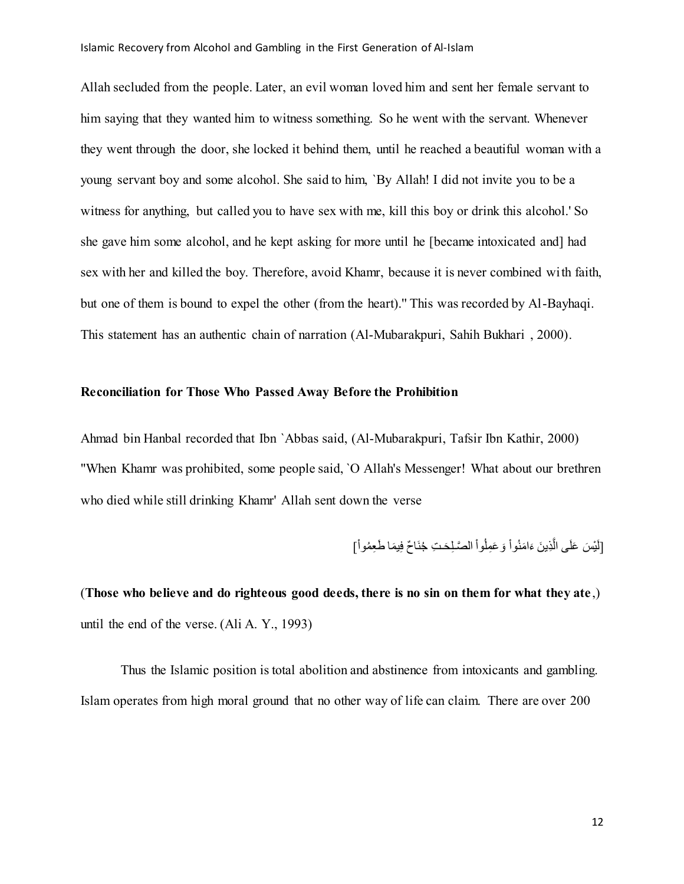Allah secluded from the people. Later, an evil woman loved him and sent her female servant to him saying that they wanted him to witness something. So he went with the servant. Whenever they went through the door, she locked it behind them, until he reached a beautiful woman with a young servant boy and some alcohol. She said to him, `By Allah! I did not invite you to be a witness for anything, but called you to have sex with me, kill this boy or drink this alcohol.' So she gave him some alcohol, and he kept asking for more until he [became intoxicated and] had sex with her and killed the boy. Therefore, avoid Khamr, because it is never combined with faith, but one of them is bound to expel the other (from the heart).'' This was recorded by Al-Bayhaqi. This statement has an authentic chain of narration (Al-Mubarakpuri, Sahih Bukhari , 2000).

# <span id="page-11-0"></span>**Reconciliation for Those Who Passed Away Before the Prohibition**

Ahmad bin Hanbal recorded that Ibn `Abbas said, (Al-Mubarakpuri, Tafsir Ibn Kathir, 2000) "When Khamr was prohibited, some people said, `O Allah's Messenger! What about our brethren who died while still drinking Khamr' Allah sent down the verse

> [لَيْسَ عَلَى الَّذِينَ ءَامَنُواْ وَعَمِلُواْ الصَّلِحَتِ جُنَاحٌ فِيمَا طَعِمُواْ] َّ

(**Those who believe and do righteous good deeds, there is no sin on them for what they ate** ,) until the end of the verse. (Ali A. Y., 1993)

Thus the Islamic position is total abolition and abstinence from intoxicants and gambling. Islam operates from high moral ground that no other way of life can claim. There are over 200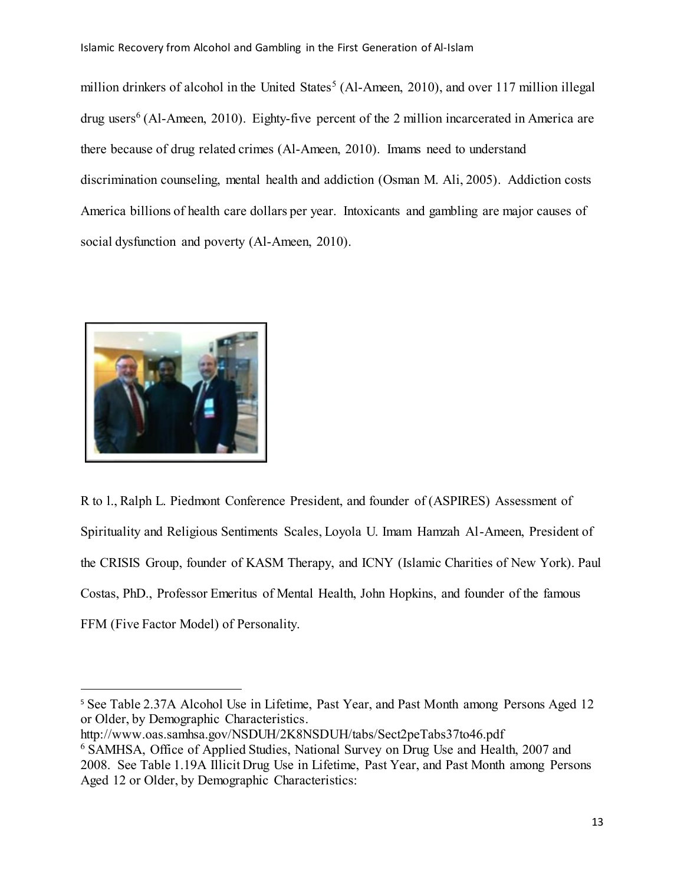million drinkers of alcohol in the United States<sup>5</sup> (Al-Ameen, 2010), and over 117 million illegal drug users<sup>6</sup> (Al-Ameen, 2010). Eighty-five percent of the 2 million incarcerated in America are there because of drug related crimes (Al-Ameen, 2010). Imams need to understand discrimination counseling, mental health and addiction (Osman M. Ali, 2005). Addiction costs America billions of health care dollars per year. Intoxicants and gambling are major causes of social dysfunction and poverty (Al-Ameen, 2010).



 $\overline{a}$ 

R to l., Ralph L. Piedmont Conference President, and founder of (ASPIRES) Assessment of Spirituality and Religious Sentiments Scales, Loyola U. Imam Hamzah Al-Ameen, President of the CRISIS Group, founder of KASM Therapy, and ICNY (Islamic Charities of New York). Paul Costas, PhD., Professor Emeritus of Mental Health, John Hopkins, and founder of the famous FFM (Five Factor Model) of Personality.

http://www.oas.samhsa.gov/NSDUH/2K8NSDUH/tabs/Sect2peTabs37to46.pdf

<sup>5</sup> See Table 2.37A Alcohol Use in Lifetime, Past Year, and Past Month among Persons Aged 12 or Older, by Demographic Characteristics.

<sup>6</sup> SAMHSA, Office of Applied Studies, National Survey on Drug Use and Health, 2007 and 2008. See Table 1.19A Illicit Drug Use in Lifetime, Past Year, and Past Month among Persons Aged 12 or Older, by Demographic Characteristics: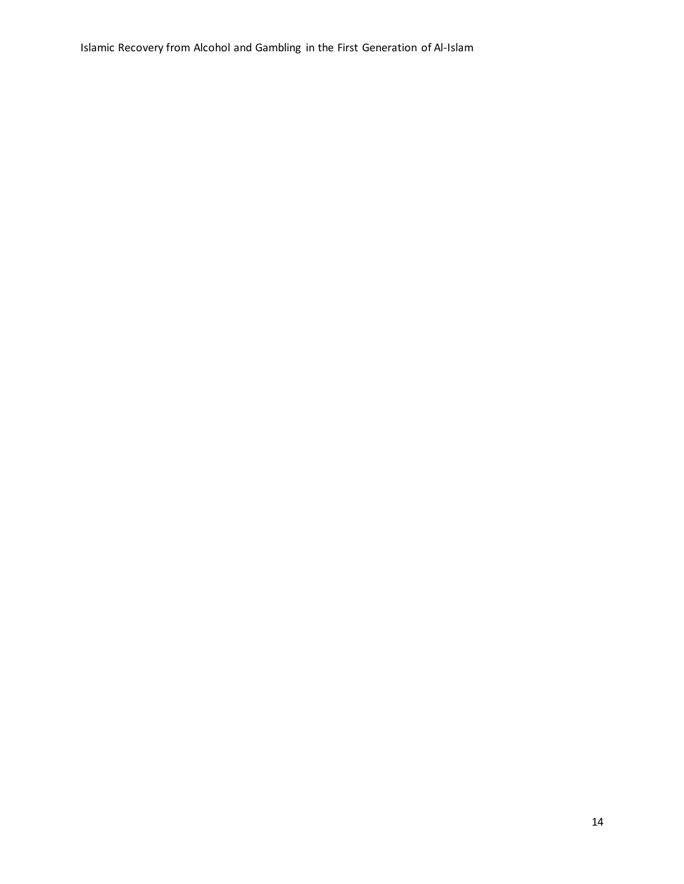Islamic Recovery from Alcohol and Gambling in the First Generation of Al-Islam